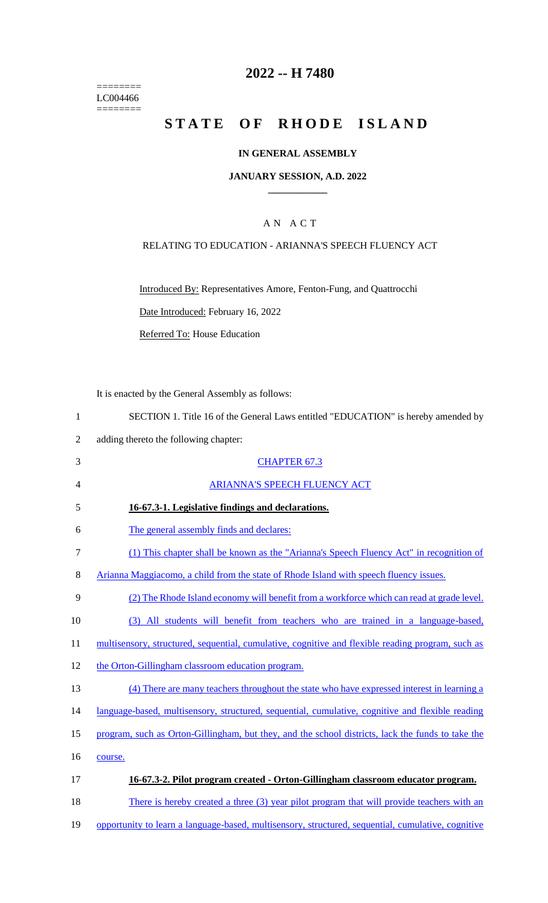======== LC004466 ========

# **2022 -- H 7480**

# **STATE OF RHODE ISLAND**

#### **IN GENERAL ASSEMBLY**

#### **JANUARY SESSION, A.D. 2022 \_\_\_\_\_\_\_\_\_\_\_\_**

## A N A C T

#### RELATING TO EDUCATION - ARIANNA'S SPEECH FLUENCY ACT

Introduced By: Representatives Amore, Fenton-Fung, and Quattrocchi

Date Introduced: February 16, 2022

Referred To: House Education

It is enacted by the General Assembly as follows:

|   | SECTION 1. Title 16 of the General Laws entitled "EDUCATION" is hereby amended by |
|---|-----------------------------------------------------------------------------------|
| 2 | adding thereto the following chapter:                                             |
| 3 | <b>CHAPTER 67.3</b>                                                               |
| 4 | <b>ARIANNA'S SPEECH FLUENCY ACT</b>                                               |
| 5 | 16-67.3-1. Legislative findings and declarations.                                 |
| 6 | The general assembly finds and declares:                                          |

- 7 (1) This chapter shall be known as the "Arianna's Speech Fluency Act" in recognition of
- 8 Arianna Maggiacomo, a child from the state of Rhode Island with speech fluency issues.
- 9 (2) The Rhode Island economy will benefit from a workforce which can read at grade level.
- 10 (3) All students will benefit from teachers who are trained in a language-based,

11 multisensory, structured, sequential, cumulative, cognitive and flexible reading program, such as

- 12 the Orton-Gillingham classroom education program.
- 13 (4) There are many teachers throughout the state who have expressed interest in learning a
- 14 language-based, multisensory, structured, sequential, cumulative, cognitive and flexible reading
- 15 program, such as Orton-Gillingham, but they, and the school districts, lack the funds to take the 16 course.
- 

# 17 **16-67.3-2. Pilot program created - Orton-Gillingham classroom educator program.**

18 There is hereby created a three (3) year pilot program that will provide teachers with an

19 opportunity to learn a language-based, multisensory, structured, sequential, cumulative, cognitive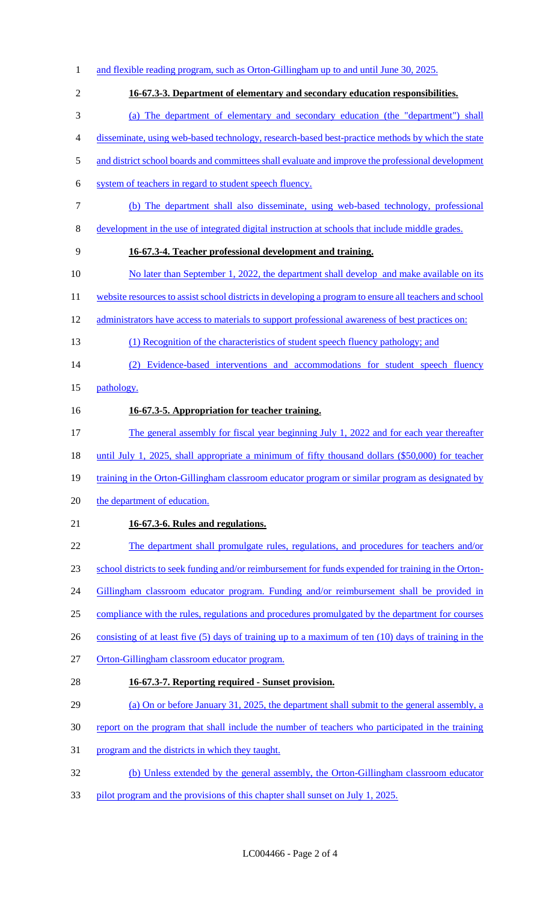1 and flexible reading program, such as Orton-Gillingham up to and until June 30, 2025. **16-67.3-3. Department of elementary and secondary education responsibilities.** (a) The department of elementary and secondary education (the "department") shall disseminate, using web-based technology, research-based best-practice methods by which the state 5 and district school boards and committees shall evaluate and improve the professional development system of teachers in regard to student speech fluency. (b) The department shall also disseminate, using web-based technology, professional development in the use of integrated digital instruction at schools that include middle grades. **16-67.3-4. Teacher professional development and training.** 10 No later than September 1, 2022, the department shall develop and make available on its 11 website resources to assist school districts in developing a program to ensure all teachers and school 12 administrators have access to materials to support professional awareness of best practices on: (1) Recognition of the characteristics of student speech fluency pathology; and (2) Evidence-based interventions and accommodations for student speech fluency pathology. **16-67.3-5. Appropriation for teacher training.** 17 The general assembly for fiscal year beginning July 1, 2022 and for each year thereafter until July 1, 2025, shall appropriate a minimum of fifty thousand dollars (\$50,000) for teacher 19 training in the Orton-Gillingham classroom educator program or similar program as designated by 20 the department of education. **16-67.3-6. Rules and regulations.** 22 The department shall promulgate rules, regulations, and procedures for teachers and/or school districts to seek funding and/or reimbursement for funds expended for training in the Orton-24 Gillingham classroom educator program. Funding and/or reimbursement shall be provided in compliance with the rules, regulations and procedures promulgated by the department for courses 26 consisting of at least five (5) days of training up to a maximum of ten (10) days of training in the Orton-Gillingham classroom educator program. **16-67.3-7. Reporting required - Sunset provision.** (a) On or before January 31, 2025, the department shall submit to the general assembly, a report on the program that shall include the number of teachers who participated in the training program and the districts in which they taught. (b) Unless extended by the general assembly, the Orton-Gillingham classroom educator 33 pilot program and the provisions of this chapter shall sunset on July 1, 2025.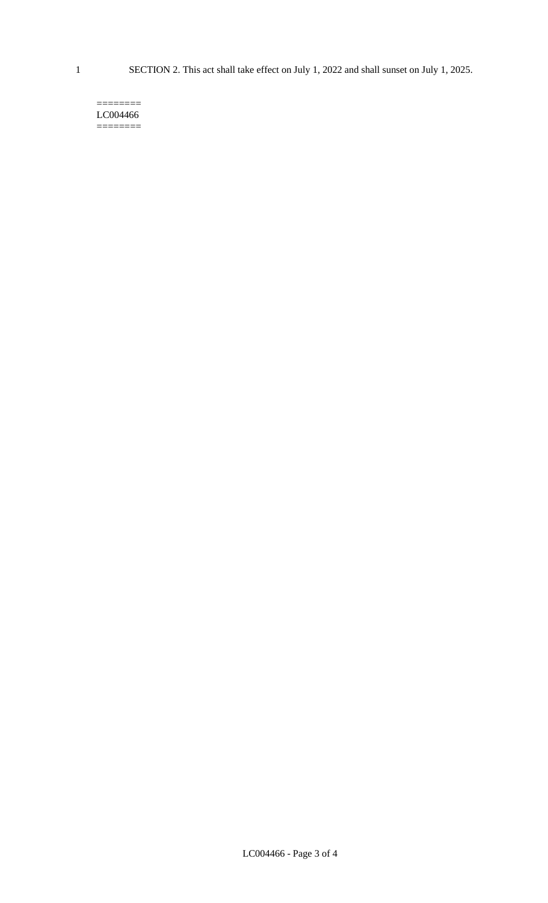$=$ LC004466 ========